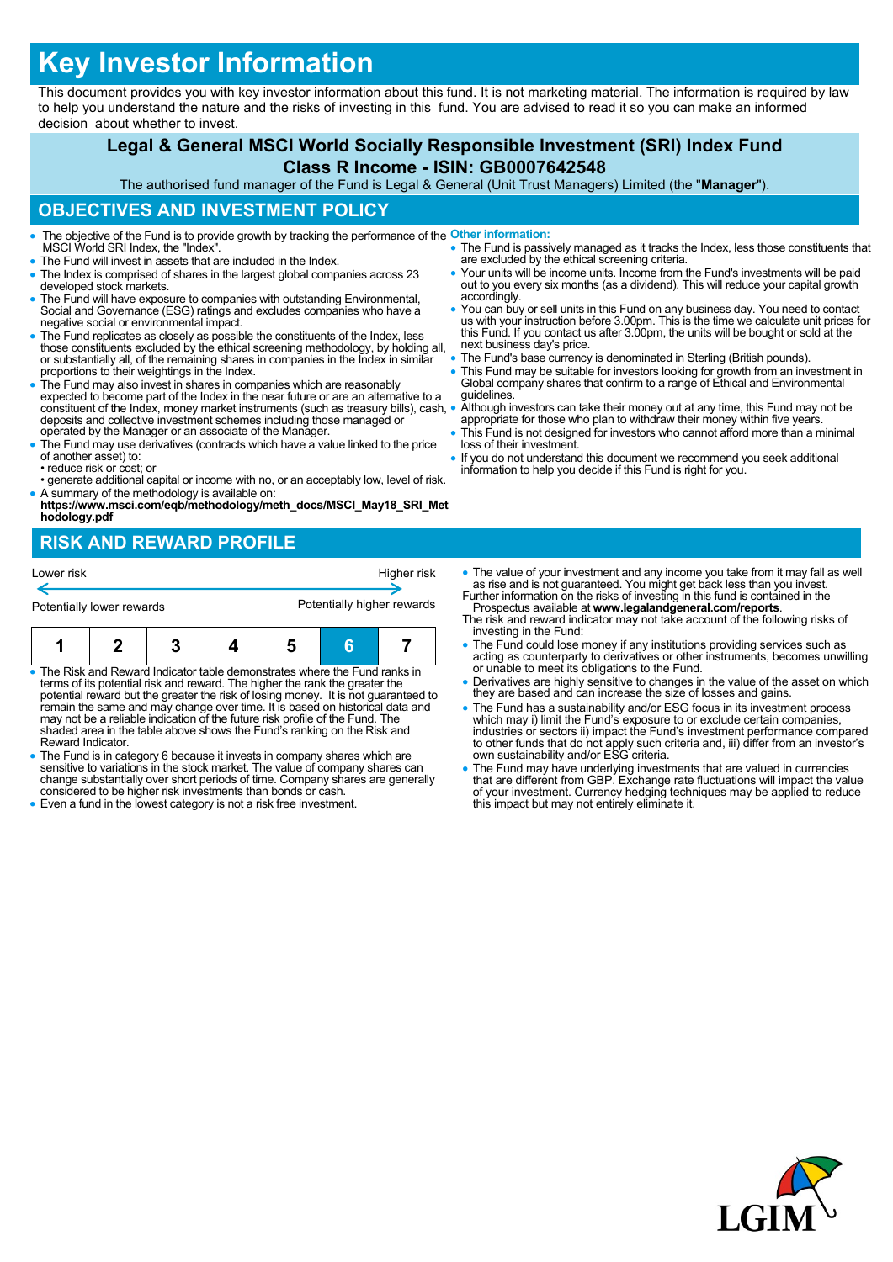# **Key Investor Information**

This document provides you with key investor information about this fund. It is not marketing material. The information is required by law to help you understand the nature and the risks of investing in this fund. You are advised to read it so you can make an informed decision about whether to invest.

## **Legal & General MSCI World Socially Responsible Investment (SRI) Index Fund Class R Income - ISIN: GB0007642548**

The authorised fund manager of the Fund is Legal & General (Unit Trust Managers) Limited (the "**Manager**").

#### **OBJECTIVES AND INVESTMENT POLICY**

- The objective of the Fund is to provide growth by tracking the performance of the **Other information:** MSCI World SRI Index, the "Index".
- The Fund will invest in assets that are included in the Index.
- The Index is comprised of shares in the largest global companies across 23 developed stock markets.
- The Fund will have exposure to companies with outstanding Environmental, Social and Governance (ESG) ratings and excludes companies who have a negative social or environmental impact.
- The Fund replicates as closely as possible the constituents of the Index, less those constituents excluded by the ethical screening methodology, by holding all, or substantially all, of the remaining shares in companies in the Index in similar proportions to their weightings in the Index.
- The Fund may also invest in shares in companies which are reasonably expected to become part of the Index in the near future or are an alternative to a constituent of the Index, money market instruments (such as treasury bills), cash, deposits and collective investment schemes including those managed or operated by the Manager or an associate of the Manager.
- The Fund may use derivatives (contracts which have a value linked to the price of another asset) to: • reduce risk or cost; or
- generate additional capital or income with no, or an acceptably low, level of risk.
- A summary of the methodology is available on: **https://www.msci.com/eqb/methodology/meth\_docs/MSCI\_May18\_SRI\_Met hodology.pdf**

# **RISK AND REWARD PROFILE**

| Lower risk                |  |  |  | Higher risk                |   |  |
|---------------------------|--|--|--|----------------------------|---|--|
| Potentially lower rewards |  |  |  | Potentially higher rewards |   |  |
|                           |  |  |  |                            | в |  |

- The Risk and Reward Indicator table demonstrates where the Fund ranks in terms of its potential risk and reward. The higher the rank the greater the potential reward but the greater the risk of losing money. It is not guaranteed to<br>remain the same and may change over time. It is based on historical data and<br>may not be a reliable indication of the future risk profile of shaded area in the table above shows the Fund's ranking on the Risk and Reward Indicator.
- The Fund is in category 6 because it invests in company shares which are sensitive to variations in the stock market. The value of company shares can change substantially over short periods of time. Company shares are generally considered to be higher risk investments than bonds or cash.
- Even a fund in the lowest category is not a risk free investment.
- The Fund is passively managed as it tracks the Index, less those constituents that are excluded by the ethical screening criteria. • Your units will be income units. Income from the Fund's investments will be paid
- out to you every six months (as a dividend). This will reduce your capital growth accordingly.
- You can buy or sell units in this Fund on any business day. You need to contact us with your instruction before 3.00pm. This is the time we calculate unit prices for this Fund. If you contact us after 3.00pm, the units will be bought or sold at the next business day's price.
- The Fund's base currency is denominated in Sterling (British pounds).
- This Fund may be suitable for investors looking for growth from an investment in Global company shares that confirm to a range of Ethical and Environmental guidelines.
- Although investors can take their money out at any time, this Fund may not be appropriate for those who plan to withdraw their money within five years.
- This Fund is not designed for investors who cannot afford more than a minimal loss of their investment.
- If you do not understand this document we recommend you seek additional information to help you decide if this Fund is right for you.
- The value of your investment and any income you take from it may fall as well as rise and is not guaranteed. You might get back less than you invest. Further information on the risks of investing in this fund is contained in the
- Prospectus available at **www.legalandgeneral.com/reports**. The risk and reward indicator may not take account of the following risks of investing in the Fund:
- The Fund could lose money if any institutions providing services such as acting as counterparty to derivatives or other instruments, becomes unwilling or unable to meet its obligations to the Fund.
- Derivatives are highly sensitive to changes in the value of the asset on which they are based and can increase the size of losses and gains.
- The Fund has a sustainability and/or ESG focus in its investment process which may i) limit the Fund's exposure to or exclude certain companies, industries or sectors ii) impact the Fund's investment performance compared to other funds that do not apply such criteria and, iii) differ from an investor's own sustainability and/or ESG criteria.
- The Fund may have underlying investments that are valued in currencies that are different from GBP. Exchange rate fluctuations will impact the value of your investment. Currency hedging techniques may be applied to reduce this impact but may not entirely eliminate it.